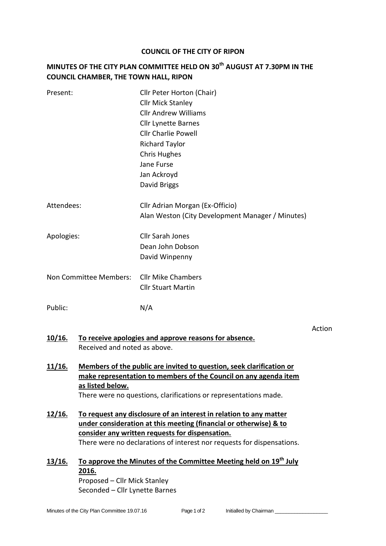## **COUNCIL OF THE CITY OF RIPON**

## **MINUTES OF THE CITY PLAN COMMITTEE HELD ON 30th AUGUST AT 7.30PM IN THE COUNCIL CHAMBER, THE TOWN HALL, RIPON**

| Present:                                                                                               |                                                                                                                                                                                                                                                                      | Cllr Peter Horton (Chair)<br><b>Cllr Mick Stanley</b><br><b>Cllr Andrew Williams</b><br><b>Cllr Lynette Barnes</b><br><b>Cllr Charlie Powell</b><br><b>Richard Taylor</b><br><b>Chris Hughes</b><br>Jane Furse<br>Jan Ackroyd<br>David Briggs |  |
|--------------------------------------------------------------------------------------------------------|----------------------------------------------------------------------------------------------------------------------------------------------------------------------------------------------------------------------------------------------------------------------|-----------------------------------------------------------------------------------------------------------------------------------------------------------------------------------------------------------------------------------------------|--|
| Attendees:                                                                                             |                                                                                                                                                                                                                                                                      | Cllr Adrian Morgan (Ex-Officio)<br>Alan Weston (City Development Manager / Minutes)                                                                                                                                                           |  |
| Apologies:                                                                                             |                                                                                                                                                                                                                                                                      | <b>Cllr Sarah Jones</b><br>Dean John Dobson<br>David Winpenny                                                                                                                                                                                 |  |
| Non Committee Members:                                                                                 |                                                                                                                                                                                                                                                                      | <b>Cllr Mike Chambers</b><br><b>Cllr Stuart Martin</b>                                                                                                                                                                                        |  |
| Public:                                                                                                |                                                                                                                                                                                                                                                                      | N/A                                                                                                                                                                                                                                           |  |
| <u>10/16.</u><br>To receive apologies and approve reasons for absence.<br>Received and noted as above. |                                                                                                                                                                                                                                                                      | Action                                                                                                                                                                                                                                        |  |
| 11/16.                                                                                                 | Members of the public are invited to question, seek clarification or<br>make representation to members of the Council on any agenda item<br>as listed below.<br>There were no questions, clarifications or representations made.                                     |                                                                                                                                                                                                                                               |  |
| 12/16.                                                                                                 | To request any disclosure of an interest in relation to any matter<br>under consideration at this meeting (financial or otherwise) & to<br>consider any written requests for dispensation.<br>There were no declarations of interest nor requests for dispensations. |                                                                                                                                                                                                                                               |  |
| 13/16.                                                                                                 | To approve the Minutes of the Committee Meeting held on 19 <sup>th</sup> July<br><u>2016.</u><br>Proposed - Cllr Mick Stanley                                                                                                                                        |                                                                                                                                                                                                                                               |  |

Seconded – Cllr Lynette Barnes